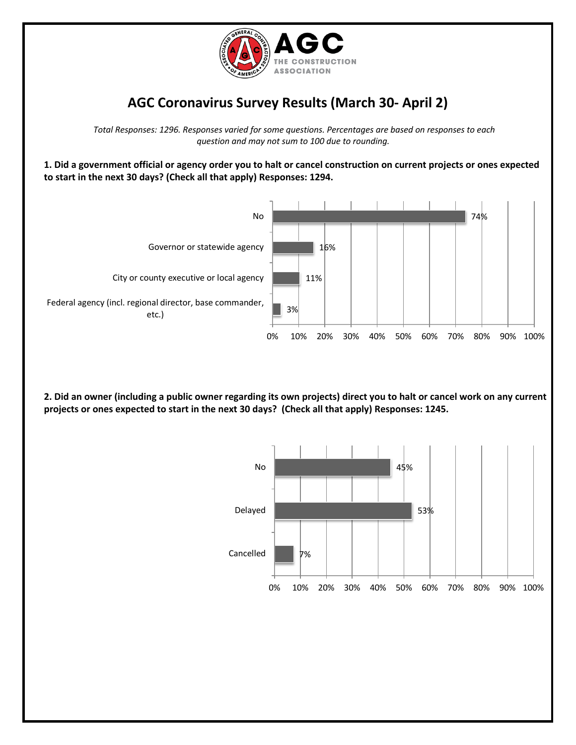

## **AGC Coronavirus Survey Results (March 30- April 2)**

*Total Responses: 1296. Responses varied for some questions. Percentages are based on responses to each question and may not sum to 100 due to rounding.*

**1. Did a government official or agency order you to halt or cancel construction on current projects or ones expected to start in the next 30 days? (Check all that apply) Responses: 1294.**



**2. Did an owner (including a public owner regarding its own projects) direct you to halt or cancel work on any current projects or ones expected to start in the next 30 days? (Check all that apply) Responses: 1245.**

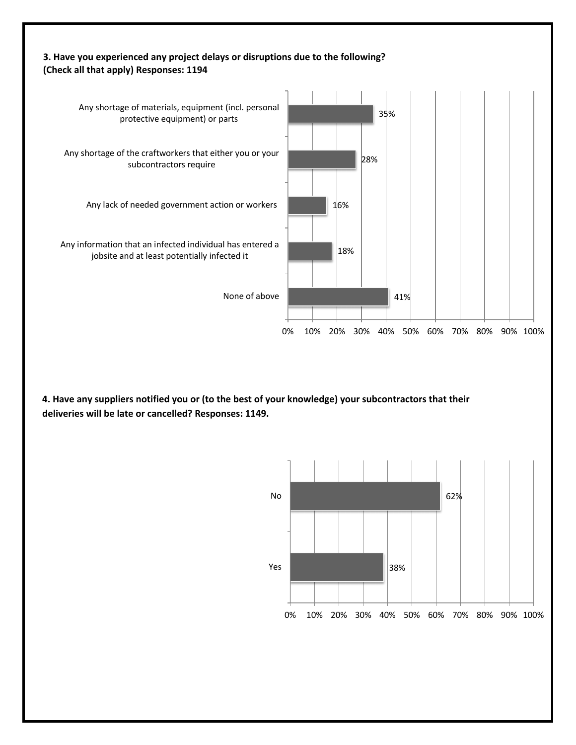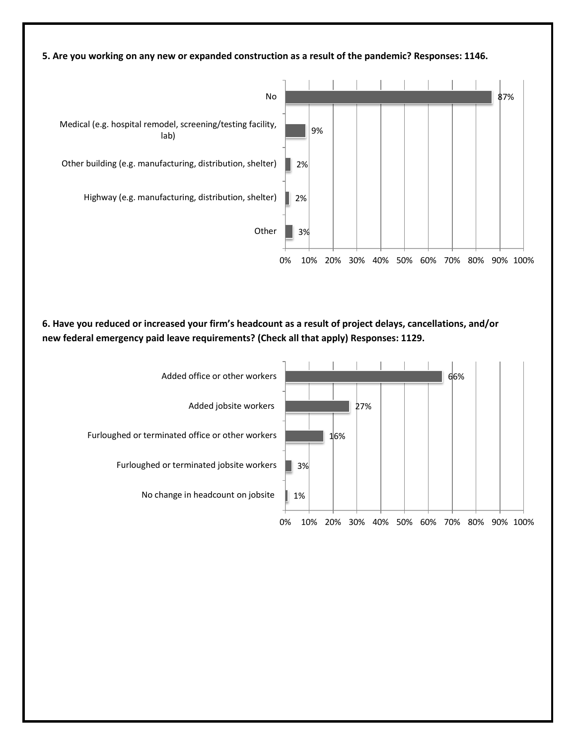

0% 10% 20% 30% 40% 50% 60% 70% 80% 90% 100%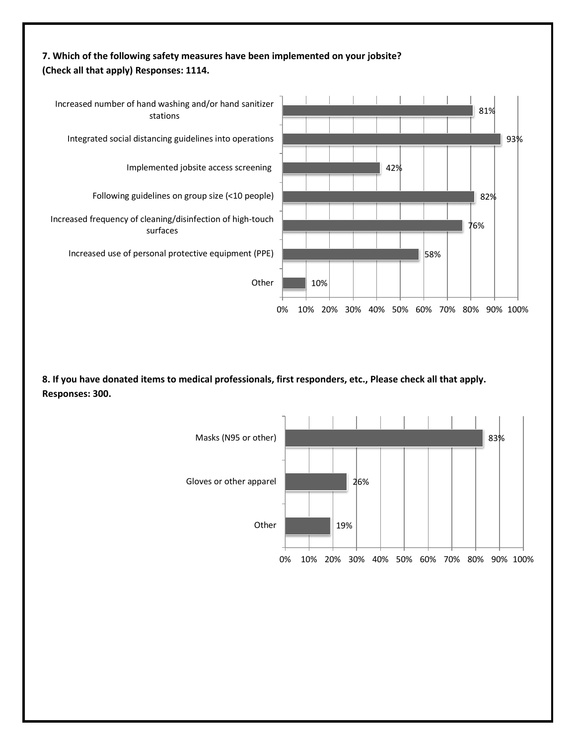

**8. If you have donated items to medical professionals, first responders, etc., Please check all that apply. Responses: 300.**

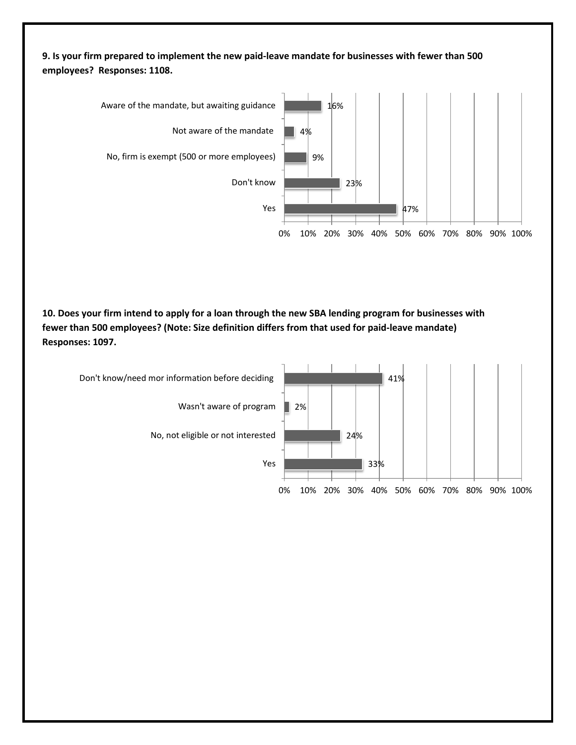**9. Is your firm prepared to implement the new paid-leave mandate for businesses with fewer than 500 employees? Responses: 1108.**



**10. Does your firm intend to apply for a loan through the new SBA lending program for businesses with fewer than 500 employees? (Note: Size definition differs from that used for paid-leave mandate) Responses: 1097.**

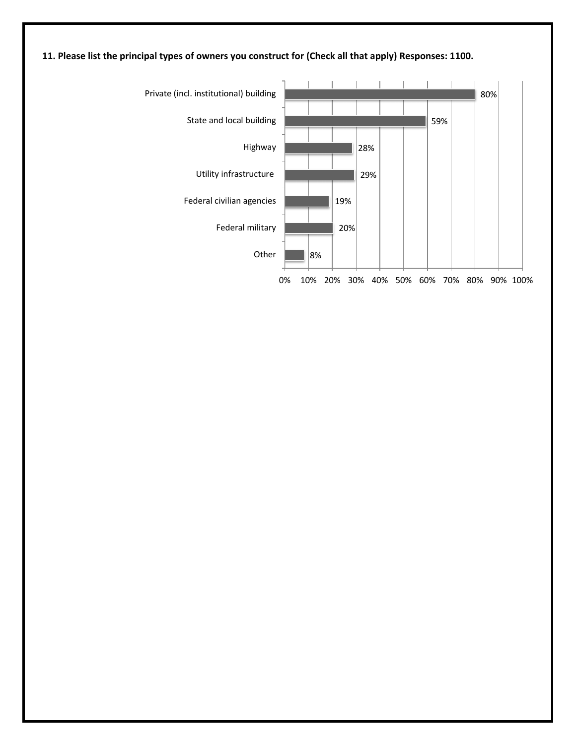

## **11. Please list the principal types of owners you construct for (Check all that apply) Responses: 1100.**